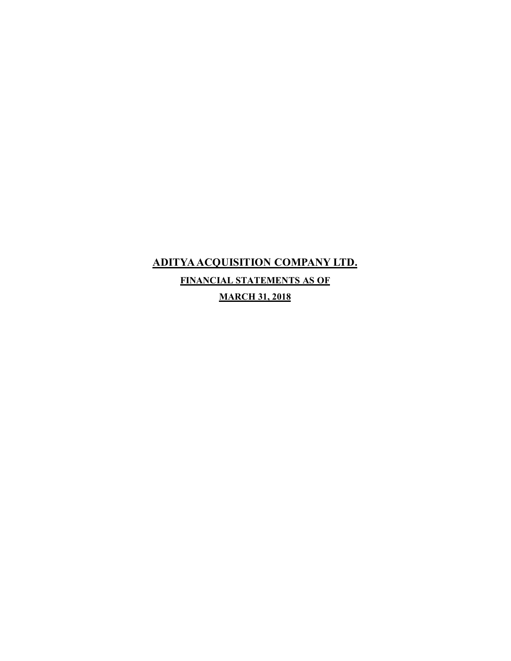# **ADITYA ACQUISITION COMPANY LTD. FINANCIAL STATEMENTS AS OF**

**MARCH 31, 2018**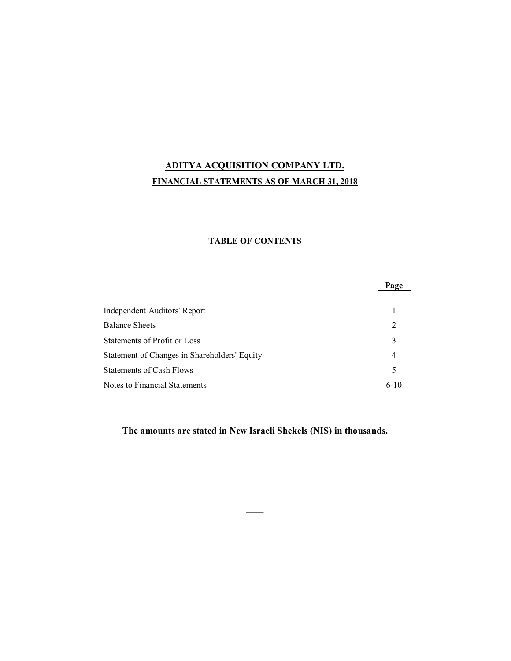# **ADITYA ACQUISITION COMPANY LTD. FINANCIAL STATEMENTS AS OF MARCH 31, 2018**

# **TABLE OF CONTENTS**

|                                              | Page   |
|----------------------------------------------|--------|
| Independent Auditors' Report                 |        |
| <b>Balance Sheets</b>                        | 2      |
| Statements of Profit or Loss                 | 3      |
| Statement of Changes in Shareholders' Equity | 4      |
| <b>Statements of Cash Flows</b>              | 5      |
| Notes to Financial Statements                | $6-10$ |

**The amounts are stated in New Israeli Shekels (NIS) in thousands.**

 $\overline{\phantom{a}}$  $\overline{\phantom{a}}$  $\overline{\phantom{a}}$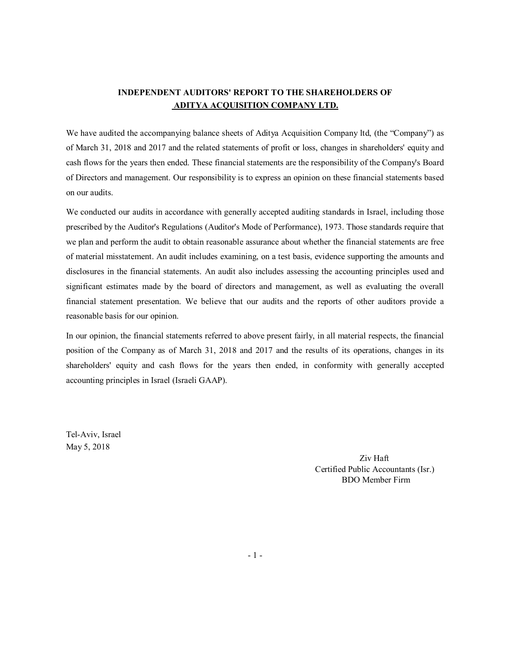# **INDEPENDENT AUDITORS' REPORT TO THE SHAREHOLDERS OF ADITYA ACQUISITION COMPANY LTD.**

We have audited the accompanying balance sheets of Aditya Acquisition Company ltd, (the "Company") as of March 31, 2018 and 2017 and the related statements of profit or loss, changes in shareholders' equity and cash flows for the years then ended. These financial statements are the responsibility of the Company's Board of Directors and management. Our responsibility is to express an opinion on these financial statements based on our audits.

We conducted our audits in accordance with generally accepted auditing standards in Israel, including those prescribed by the Auditor's Regulations (Auditor's Mode of Performance), 1973. Those standards require that we plan and perform the audit to obtain reasonable assurance about whether the financial statements are free of material misstatement. An audit includes examining, on a test basis, evidence supporting the amounts and disclosures in the financial statements. An audit also includes assessing the accounting principles used and significant estimates made by the board of directors and management, as well as evaluating the overall financial statement presentation. We believe that our audits and the reports of other auditors provide a reasonable basis for our opinion.

In our opinion, the financial statements referred to above present fairly, in all material respects, the financial position of the Company as of March 31, 2018 and 2017 and the results of its operations, changes in its shareholders' equity and cash flows for the years then ended, in conformity with generally accepted accounting principles in Israel (Israeli GAAP).

Tel-Aviv, Israel May 5, 2018

> Ziv Haft Certified Public Accountants (Isr.) BDO Member Firm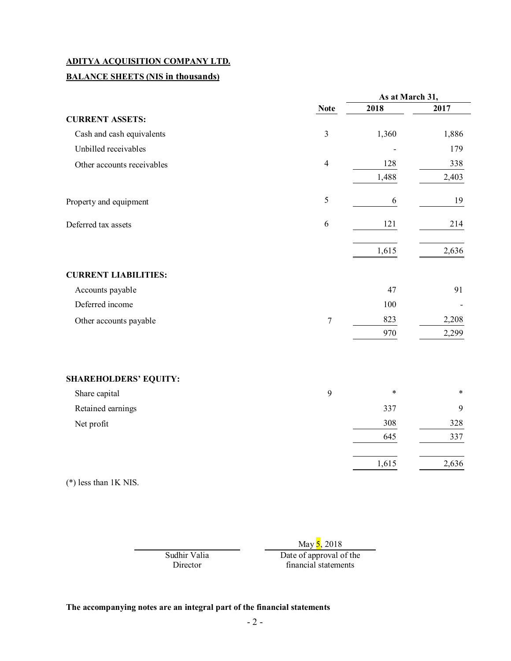# **BALANCE SHEETS (NIS in thousands)**

|                              |                | As at March 31, |        |
|------------------------------|----------------|-----------------|--------|
|                              | <b>Note</b>    | 2018            | 2017   |
| <b>CURRENT ASSETS:</b>       |                |                 |        |
| Cash and cash equivalents    | $\mathfrak{Z}$ | 1,360           | 1,886  |
| Unbilled receivables         |                |                 | 179    |
| Other accounts receivables   | $\overline{4}$ | 128             | 338    |
|                              |                | 1,488           | 2,403  |
| Property and equipment       | 5              | 6               | 19     |
| Deferred tax assets          | 6              | 121             | 214    |
|                              |                | 1,615           | 2,636  |
| <b>CURRENT LIABILITIES:</b>  |                |                 |        |
| Accounts payable             |                | 47              | 91     |
| Deferred income              |                | 100             |        |
| Other accounts payable       | $\tau$         | 823             | 2,208  |
|                              |                | 970             | 2,299  |
| <b>SHAREHOLDERS' EQUITY:</b> |                |                 |        |
| Share capital                | 9              | $\ast$          | $\ast$ |
| Retained earnings            |                | 337             | 9      |
| Net profit                   |                | 308             | 328    |
|                              |                | 645             | 337    |
|                              |                | 1,615           | 2,636  |

(\*) less than 1K NIS.

May 5, 2018 Sudhir Valia Director Date of approval of the financial statements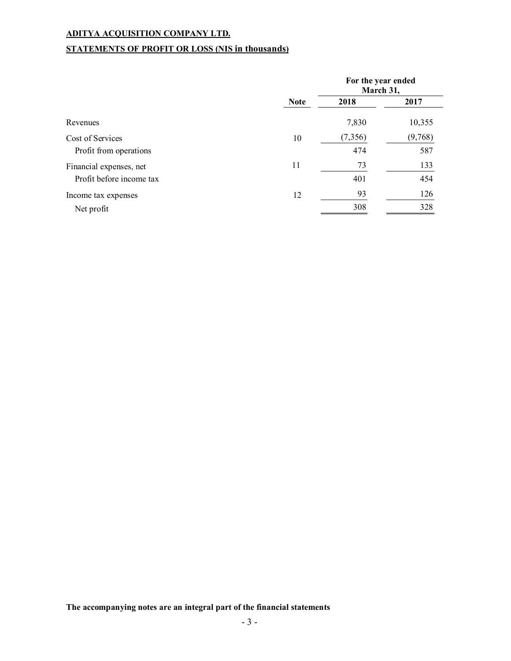# **STATEMENTS OF PROFIT OR LOSS (NIS in thousands)**

|                          |             | For the year ended<br>March 31, |         |
|--------------------------|-------------|---------------------------------|---------|
|                          | <b>Note</b> | 2018                            | 2017    |
| Revenues                 |             | 7,830                           | 10,355  |
| Cost of Services         | 10          | (7,356)                         | (9,768) |
| Profit from operations   |             | 474                             | 587     |
| Financial expenses, net  | 11          | 73                              | 133     |
| Profit before income tax |             | 401                             | 454     |
| Income tax expenses      | 12          | 93                              | 126     |
| Net profit               |             | 308                             | 328     |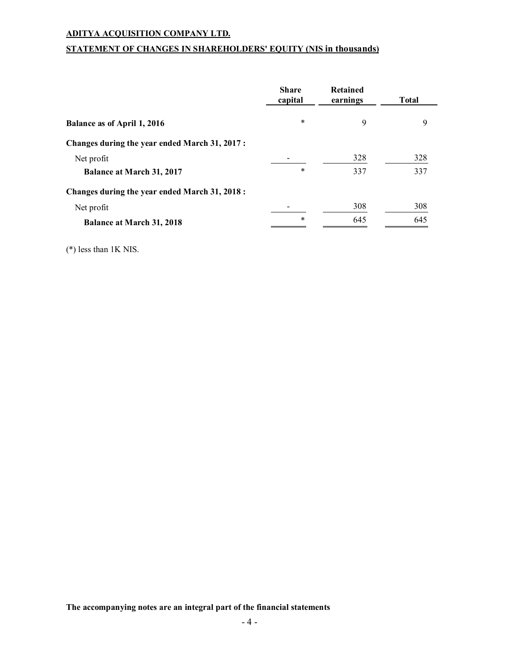# **STATEMENT OF CHANGES IN SHAREHOLDERS' EQUITY (NIS in thousands)**

|                                                | <b>Share</b><br>capital | <b>Retained</b><br>earnings | <b>Total</b> |
|------------------------------------------------|-------------------------|-----------------------------|--------------|
| Balance as of April 1, 2016                    | *                       | 9                           | 9            |
| Changes during the year ended March 31, 2017:  |                         |                             |              |
| Net profit                                     |                         | 328                         | 328          |
| <b>Balance at March 31, 2017</b>               | *                       | 337                         | 337          |
| Changes during the year ended March 31, 2018 : |                         |                             |              |
| Net profit                                     |                         | 308                         | 308          |
| <b>Balance at March 31, 2018</b>               | *                       | 645                         | 645          |

(\*) less than 1K NIS.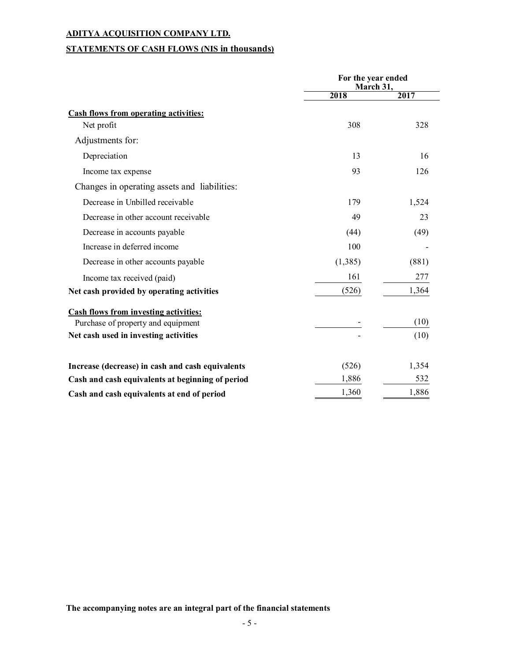# **STATEMENTS OF CASH FLOWS (NIS in thousands)**

|                                                  | For the year ended<br>March 31, |       |
|--------------------------------------------------|---------------------------------|-------|
|                                                  | 2018                            | 2017  |
| <b>Cash flows from operating activities:</b>     |                                 |       |
| Net profit                                       | 308                             | 328   |
| Adjustments for:                                 |                                 |       |
| Depreciation                                     | 13                              | 16    |
| Income tax expense                               | 93                              | 126   |
| Changes in operating assets and liabilities:     |                                 |       |
| Decrease in Unbilled receivable                  | 179                             | 1,524 |
| Decrease in other account receivable             | 49                              | 23    |
| Decrease in accounts payable                     | (44)                            | (49)  |
| Increase in deferred income                      | 100                             |       |
| Decrease in other accounts payable               | (1,385)                         | (881) |
| Income tax received (paid)                       | 161                             | 277   |
| Net cash provided by operating activities        | (526)                           | 1,364 |
| Cash flows from investing activities:            |                                 |       |
| Purchase of property and equipment               |                                 | (10)  |
| Net cash used in investing activities            |                                 | (10)  |
| Increase (decrease) in cash and cash equivalents | (526)                           | 1,354 |
| Cash and cash equivalents at beginning of period | 1,886                           | 532   |
| Cash and cash equivalents at end of period       | 1,360                           | 1,886 |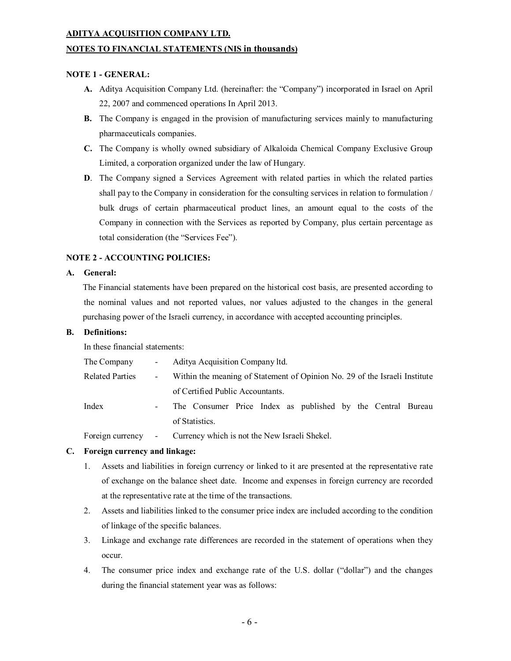#### **NOTES TO FINANCIAL STATEMENTS (NIS in thousands)**

#### **NOTE 1 - GENERAL:**

- **A.** Aditya Acquisition Company Ltd. (hereinafter: the "Company") incorporated in Israel on April 22, 2007 and commenced operations In April 2013.
- **B.** The Company is engaged in the provision of manufacturing services mainly to manufacturing pharmaceuticals companies.
- **C.** The Company is wholly owned subsidiary of Alkaloida Chemical Company Exclusive Group Limited, a corporation organized under the law of Hungary.
- **D**. The Company signed a Services Agreement with related parties in which the related parties shall pay to the Company in consideration for the consulting services in relation to formulation / bulk drugs of certain pharmaceutical product lines, an amount equal to the costs of the Company in connection with the Services as reported by Company, plus certain percentage as total consideration (the "Services Fee").

### **NOTE 2 - ACCOUNTING POLICIES:**

# **A. General:**

The Financial statements have been prepared on the historical cost basis, are presented according to the nominal values and not reported values, nor values adjusted to the changes in the general purchasing power of the Israeli currency, in accordance with accepted accounting principles.

#### **B. Definitions:**

In these financial statements:

| The Company            | $\sim 100$ | Aditya Acquisition Company ltd.                                            |
|------------------------|------------|----------------------------------------------------------------------------|
| <b>Related Parties</b> | $\sim 100$ | Within the meaning of Statement of Opinion No. 29 of the Israeli Institute |
|                        |            | of Certified Public Accountants.                                           |
| Index                  | $\sim$     | The Consumer Price Index as published by the Central Bureau                |
|                        |            | of Statistics.                                                             |
|                        |            |                                                                            |

Foreign currency - Currency which is not the New Israeli Shekel.

### **C. Foreign currency and linkage:**

- 1. Assets and liabilities in foreign currency or linked to it are presented at the representative rate of exchange on the balance sheet date. Income and expenses in foreign currency are recorded at the representative rate at the time of the transactions.
- 2. Assets and liabilities linked to the consumer price index are included according to the condition of linkage of the specific balances.
- 3. Linkage and exchange rate differences are recorded in the statement of operations when they occur.
- 4. The consumer price index and exchange rate of the U.S. dollar ("dollar") and the changes during the financial statement year was as follows: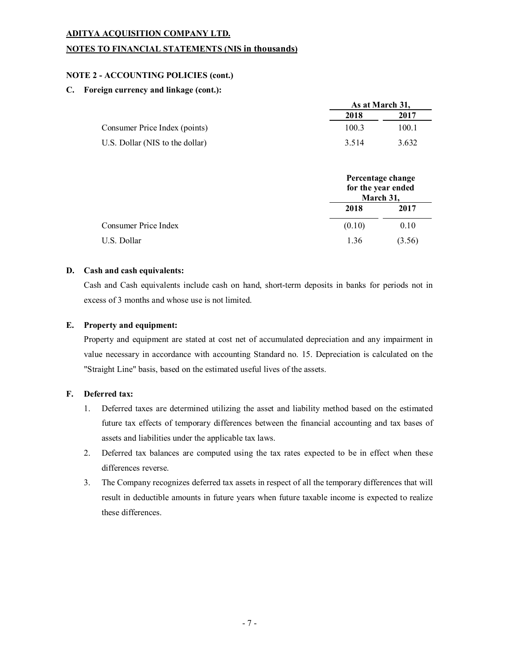### **NOTES TO FINANCIAL STATEMENTS (NIS in thousands)**

### **NOTE 2 - ACCOUNTING POLICIES (cont.)**

#### **C. Foreign currency and linkage (cont.):**

|                                 | As at March 31, |       |
|---------------------------------|-----------------|-------|
|                                 | 2018            | 2017  |
| Consumer Price Index (points)   | 100.3           | 100.1 |
| U.S. Dollar (NIS to the dollar) | 3.514           | 3.632 |

|                      | for the year ended<br>March 31, | Percentage change |
|----------------------|---------------------------------|-------------------|
|                      | 2018                            | 2017              |
| Consumer Price Index | (0.10)                          | 0.10              |
| U.S. Dollar          | 1.36                            | (3.56)            |

#### **D. Cash and cash equivalents:**

Cash and Cash equivalents include cash on hand, short-term deposits in banks for periods not in excess of 3 months and whose use is not limited.

#### **E. Property and equipment:**

Property and equipment are stated at cost net of accumulated depreciation and any impairment in value necessary in accordance with accounting Standard no. 15. Depreciation is calculated on the "Straight Line" basis, based on the estimated useful lives of the assets.

#### **F. Deferred tax:**

- 1. Deferred taxes are determined utilizing the asset and liability method based on the estimated future tax effects of temporary differences between the financial accounting and tax bases of assets and liabilities under the applicable tax laws.
- 2. Deferred tax balances are computed using the tax rates expected to be in effect when these differences reverse.
- 3. The Company recognizes deferred tax assets in respect of all the temporary differences that will result in deductible amounts in future years when future taxable income is expected to realize these differences.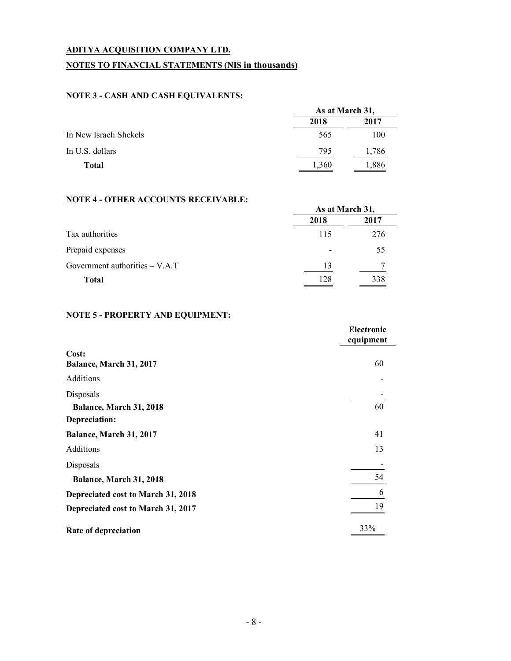# **NOTES TO FINANCIAL STATEMENTS (NIS in thousands)**

# **NOTE 3 - CASH AND CASH EQUIVALENTS:**

|                        | As at March 31, |       |
|------------------------|-----------------|-------|
|                        | 2018            | 2017  |
| In New Israeli Shekels | 565             | 100   |
| In U.S. dollars        | 795             | 1,786 |
| <b>Total</b>           | 1,360           | 1,886 |

# **NOTE 4 - OTHER ACCOUNTS RECEIVABLE:**

|                                  | As at March 31, |      |
|----------------------------------|-----------------|------|
|                                  | 2018            | 2017 |
| Tax authorities                  | 115             | 276  |
| Prepaid expenses                 |                 | 55   |
| Government authorities $- V.A.T$ | 13              |      |
| <b>Total</b>                     | 128             | 338  |

# **NOTE 5 - PROPERTY AND EQUIPMENT:**

|                                    | Electronic<br>equipment |
|------------------------------------|-------------------------|
| Cost:<br>Balance, March 31, 2017   | 60                      |
| Additions                          |                         |
| Disposals                          |                         |
| Balance, March 31, 2018            | 60                      |
| Depreciation:                      |                         |
| Balance, March 31, 2017            | 41                      |
| Additions                          | 13                      |
| Disposals                          |                         |
| Balance, March 31, 2018            | 54                      |
| Depreciated cost to March 31, 2018 |                         |
| Depreciated cost to March 31, 2017 | 19                      |
| Rate of depreciation               | 33%                     |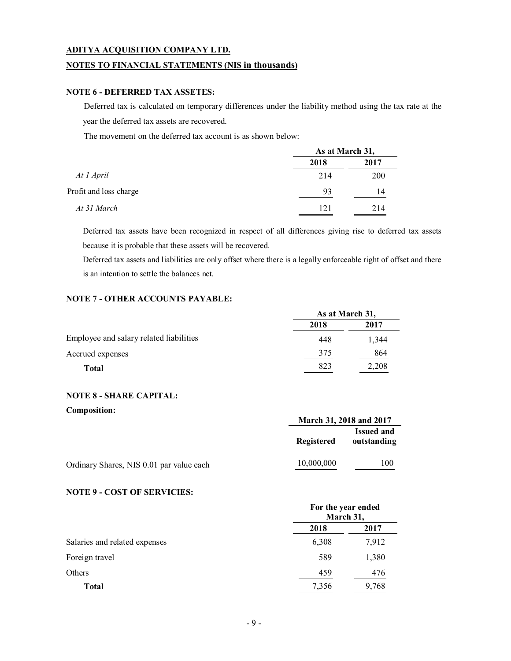### **NOTES TO FINANCIAL STATEMENTS (NIS in thousands)**

#### **NOTE 6 - DEFERRED TAX ASSETES:**

Deferred tax is calculated on temporary differences under the liability method using the tax rate at the year the deferred tax assets are recovered.

The movement on the deferred tax account is as shown below:

|                        | As at March 31, |      |
|------------------------|-----------------|------|
|                        | 2018            | 2017 |
| At 1 April             | 214             | 200  |
| Profit and loss charge | 93              | 14   |
| At 31 March            | 121             | 214  |

Deferred tax assets have been recognized in respect of all differences giving rise to deferred tax assets because it is probable that these assets will be recovered.

Deferred tax assets and liabilities are only offset where there is a legally enforceable right of offset and there is an intention to settle the balances net.

# **NOTE 7 - OTHER ACCOUNTS PAYABLE:**

|                                         | As at March 31, |       |
|-----------------------------------------|-----------------|-------|
|                                         | 2018            | 2017  |
| Employee and salary related liabilities | 448             | 1,344 |
| Accrued expenses                        | 375             | 864   |
| <b>Total</b>                            | 823             | 2,208 |

### **NOTE 8 - SHARE CAPITAL:**

**Composition: March 31, 2018 and 2017 Registered Issued and outstanding** Ordinary Shares, NIS 0.01 par value each 10,000,000 100

# **NOTE 9 - COST OF SERVICIES:**

|                               | For the year ended<br>March 31, |       |
|-------------------------------|---------------------------------|-------|
|                               | 2018                            | 2017  |
| Salaries and related expenses | 6,308                           | 7,912 |
| Foreign travel                | 589                             | 1,380 |
| Others                        | 459                             | 476   |
| <b>Total</b>                  | 7,356                           | 9,768 |